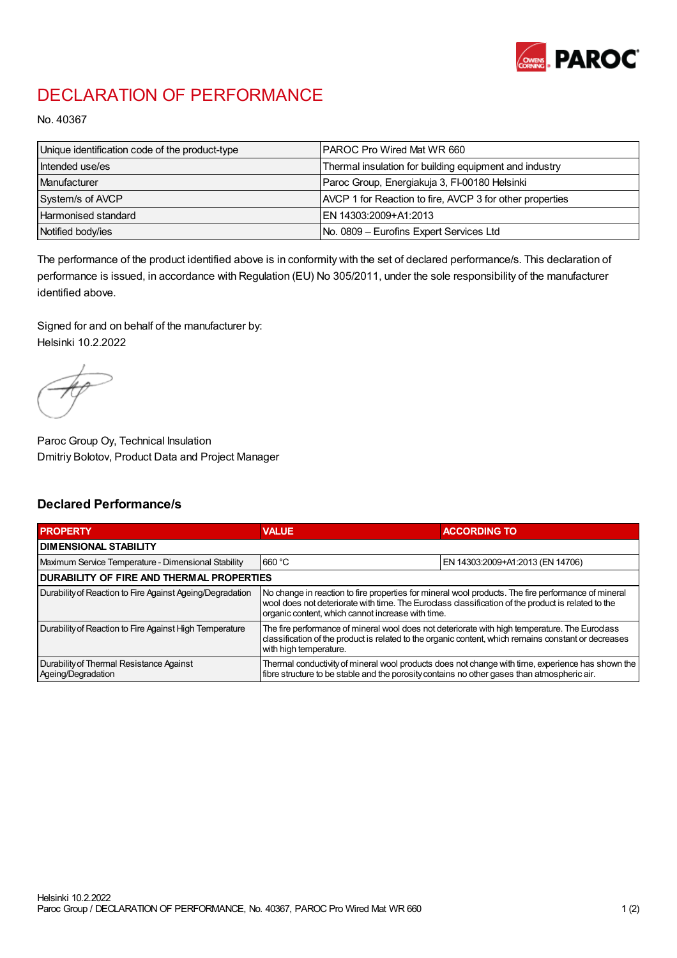

## DECLARATION OF PERFORMANCE

No. 40367

| Unique identification code of the product-type | IPAROC Pro Wired Mat WR 660                              |
|------------------------------------------------|----------------------------------------------------------|
| Intended use/es                                | Thermal insulation for building equipment and industry   |
| Manufacturer                                   | Paroc Group, Energiakuja 3, FI-00180 Helsinki            |
| System/s of AVCP                               | AVCP 1 for Reaction to fire, AVCP 3 for other properties |
| Harmonised standard                            | IEN 14303:2009+A1:2013                                   |
| Notified body/ies                              | No. 0809 - Eurofins Expert Services Ltd                  |

The performance of the product identified above is in conformity with the set of declared performance/s. This declaration of performance is issued, in accordance with Regulation (EU) No 305/2011, under the sole responsibility of the manufacturer identified above.

Signed for and on behalf of the manufacturer by: Helsinki 10.2.2022

Paroc Group Oy, Technical Insulation Dmitriy Bolotov, Product Data and Project Manager

## Declared Performance/s

| <b>PROPERTY</b>                                                | <b>VALUE</b>                                                                                                                                                                                                                                                   | <b>ACCORDING TO</b>              |  |
|----------------------------------------------------------------|----------------------------------------------------------------------------------------------------------------------------------------------------------------------------------------------------------------------------------------------------------------|----------------------------------|--|
| <b>DIMENSIONAL STABILITY</b>                                   |                                                                                                                                                                                                                                                                |                                  |  |
| Maximum Service Temperature - Dimensional Stability            | 660 °C                                                                                                                                                                                                                                                         | EN 14303:2009+A1:2013 (EN 14706) |  |
| <b>DURABILITY OF FIRE AND THERMAL PROPERTIES</b>               |                                                                                                                                                                                                                                                                |                                  |  |
| Durability of Reaction to Fire Against Ageing/Degradation      | No change in reaction to fire properties for mineral wool products. The fire performance of mineral<br>wool does not deteriorate with time. The Euroclass classification of the product is related to the<br>organic content, which cannot increase with time. |                                  |  |
| Durability of Reaction to Fire Against High Temperature        | The fire performance of mineral wool does not deteriorate with high temperature. The Euroclass<br>classification of the product is related to the organic content, which remains constant or decreases<br>with high temperature.                               |                                  |  |
| Durability of Thermal Resistance Against<br>Ageing/Degradation | Thermal conductivity of mineral wool products does not change with time, experience has shown the<br>fibre structure to be stable and the porosity contains no other gases than atmospheric air.                                                               |                                  |  |